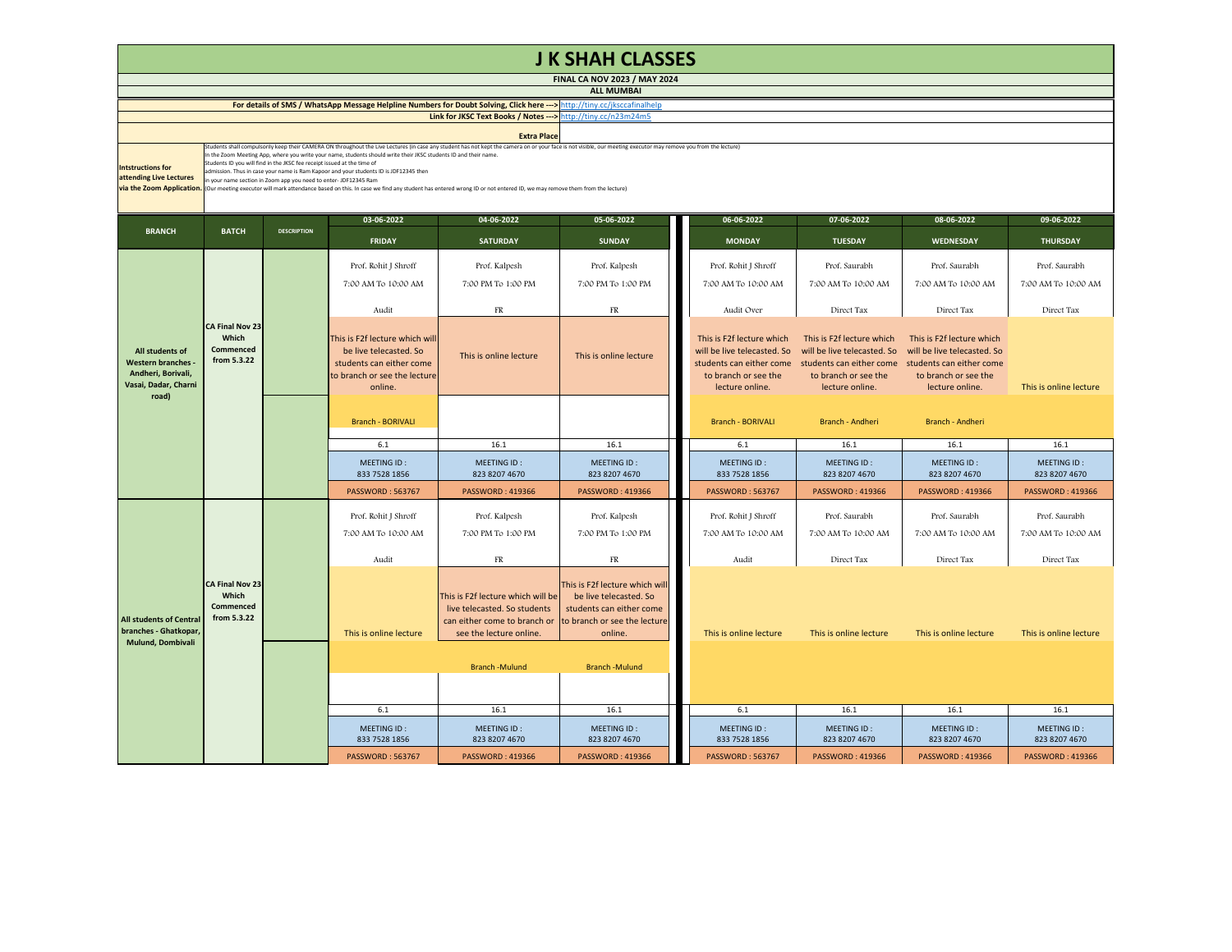| <b>J K SHAH CLASSES</b>                                                                                                                                                                                                                                                                                                                                                                                                                                                                                                                                                                                                                                                                                                                                                                                                             |                                                             |                    |                                                                                                                                |                                                                                                                              |                                                                                                                                 |  |                                                                                                     |                                                                                                                                                                                   |                                                                                                     |                              |  |
|-------------------------------------------------------------------------------------------------------------------------------------------------------------------------------------------------------------------------------------------------------------------------------------------------------------------------------------------------------------------------------------------------------------------------------------------------------------------------------------------------------------------------------------------------------------------------------------------------------------------------------------------------------------------------------------------------------------------------------------------------------------------------------------------------------------------------------------|-------------------------------------------------------------|--------------------|--------------------------------------------------------------------------------------------------------------------------------|------------------------------------------------------------------------------------------------------------------------------|---------------------------------------------------------------------------------------------------------------------------------|--|-----------------------------------------------------------------------------------------------------|-----------------------------------------------------------------------------------------------------------------------------------------------------------------------------------|-----------------------------------------------------------------------------------------------------|------------------------------|--|
| FINAL CA NOV 2023 / MAY 2024                                                                                                                                                                                                                                                                                                                                                                                                                                                                                                                                                                                                                                                                                                                                                                                                        |                                                             |                    |                                                                                                                                |                                                                                                                              |                                                                                                                                 |  |                                                                                                     |                                                                                                                                                                                   |                                                                                                     |                              |  |
| <b>ALL MUMBAI</b><br>For details of SMS / WhatsApp Message Helpline Numbers for Doubt Solving, Click here ---> http://tiny.cc/iksccafinalhelp                                                                                                                                                                                                                                                                                                                                                                                                                                                                                                                                                                                                                                                                                       |                                                             |                    |                                                                                                                                |                                                                                                                              |                                                                                                                                 |  |                                                                                                     |                                                                                                                                                                                   |                                                                                                     |                              |  |
|                                                                                                                                                                                                                                                                                                                                                                                                                                                                                                                                                                                                                                                                                                                                                                                                                                     |                                                             |                    | Link for JKSC Text Books / Notes --- > http://tiny.cc/n23m24m5                                                                 |                                                                                                                              |                                                                                                                                 |  |                                                                                                     |                                                                                                                                                                                   |                                                                                                     |                              |  |
|                                                                                                                                                                                                                                                                                                                                                                                                                                                                                                                                                                                                                                                                                                                                                                                                                                     |                                                             |                    |                                                                                                                                | <b>Extra Place</b>                                                                                                           |                                                                                                                                 |  |                                                                                                     |                                                                                                                                                                                   |                                                                                                     |                              |  |
| (tudents shall compulsorily keep their CAMERA ON throughout the Live Lectures (in case any student has not kept the camera on or your face is not visible, our meeting executor may remove you from the lecture)<br>In the Zoom Meeting App, where you write your name, students should write their JKSC students ID and their name<br>Students ID you will find in the JKSC fee receipt issued at the time of<br><b>Intstructions for</b><br>dmission. Thus in case your name is Ram Kapoor and your students ID is JDF12345 then<br>attending Live Lectures<br>n your name section in Zoom app you need to enter- JDF12345 Ram<br>via the Zoom Application.<br>(Our meeting executor will mark attendance based on this. In case we find any student has entered wrong ID or not entered ID, we may remove them from the lecture) |                                                             |                    |                                                                                                                                |                                                                                                                              |                                                                                                                                 |  |                                                                                                     |                                                                                                                                                                                   |                                                                                                     |                              |  |
|                                                                                                                                                                                                                                                                                                                                                                                                                                                                                                                                                                                                                                                                                                                                                                                                                                     |                                                             |                    | 03-06-2022                                                                                                                     | 04-06-2022                                                                                                                   | 05-06-2022                                                                                                                      |  | 06-06-2022                                                                                          | 07-06-2022                                                                                                                                                                        | 08-06-2022                                                                                          | 09-06-2022                   |  |
| <b>BRANCH</b>                                                                                                                                                                                                                                                                                                                                                                                                                                                                                                                                                                                                                                                                                                                                                                                                                       | <b>BATCH</b>                                                | <b>DESCRIPTION</b> | <b>FRIDAY</b>                                                                                                                  | <b>SATURDAY</b>                                                                                                              | <b>SUNDAY</b>                                                                                                                   |  | <b>MONDAY</b>                                                                                       | <b>TUESDAY</b>                                                                                                                                                                    | <b>WEDNESDAY</b>                                                                                    | <b>THURSDAY</b>              |  |
|                                                                                                                                                                                                                                                                                                                                                                                                                                                                                                                                                                                                                                                                                                                                                                                                                                     |                                                             |                    | Prof. Rohit J Shroff                                                                                                           | Prof. Kalpesh                                                                                                                | Prof. Kalpesh                                                                                                                   |  | Prof. Rohit J Shroff                                                                                | Prof. Saurabh                                                                                                                                                                     | Prof. Saurabh                                                                                       | Prof. Saurabh                |  |
|                                                                                                                                                                                                                                                                                                                                                                                                                                                                                                                                                                                                                                                                                                                                                                                                                                     |                                                             |                    | 7:00 AM To 10:00 AM                                                                                                            | 7:00 PM To 1:00 PM                                                                                                           | 7:00 PM To 1:00 PM                                                                                                              |  | 7:00 AM To 10:00 AM                                                                                 | 7:00 AM To 10:00 AM                                                                                                                                                               | 7:00 AM To 10:00 AM                                                                                 | 7:00 AM To 10:00 AM          |  |
|                                                                                                                                                                                                                                                                                                                                                                                                                                                                                                                                                                                                                                                                                                                                                                                                                                     |                                                             |                    | Audit                                                                                                                          | FR                                                                                                                           | $_{\rm FR}$                                                                                                                     |  | Audit Over                                                                                          | Direct Tax                                                                                                                                                                        | Direct Tax                                                                                          | Direct Tax                   |  |
| All students of<br><b>Western branches -</b><br>Andheri, Borivali,<br>Vasai, Dadar, Charni<br>road)                                                                                                                                                                                                                                                                                                                                                                                                                                                                                                                                                                                                                                                                                                                                 | <b>CA Final Nov 23</b><br>Which<br>Commenced<br>from 5.3.22 |                    | This is F2f lecture which wil<br>be live telecasted. So<br>students can either come<br>to branch or see the lecture<br>online. | This is online lecture                                                                                                       | This is online lecture                                                                                                          |  | This is F2f lecture which<br>will be live telecasted. So<br>to branch or see the<br>lecture online. | This is F2f lecture which<br>will be live telecasted. So<br>students can either come students can either come students can either come<br>to branch or see the<br>lecture online. | This is F2f lecture which<br>will be live telecasted. So<br>to branch or see the<br>lecture online. | This is online lecture       |  |
|                                                                                                                                                                                                                                                                                                                                                                                                                                                                                                                                                                                                                                                                                                                                                                                                                                     |                                                             |                    | Branch - BORIVALI                                                                                                              |                                                                                                                              |                                                                                                                                 |  | Branch - BORIVALI                                                                                   | Branch - Andheri                                                                                                                                                                  | Branch - Andheri                                                                                    |                              |  |
|                                                                                                                                                                                                                                                                                                                                                                                                                                                                                                                                                                                                                                                                                                                                                                                                                                     |                                                             |                    | 6.1                                                                                                                            | 16.1                                                                                                                         | 16.1                                                                                                                            |  | 6.1                                                                                                 | 16.1                                                                                                                                                                              | 16.1                                                                                                | 16.1                         |  |
|                                                                                                                                                                                                                                                                                                                                                                                                                                                                                                                                                                                                                                                                                                                                                                                                                                     |                                                             |                    | MEETING ID:<br>833 7528 1856                                                                                                   | MEETING ID:<br>823 8207 4670                                                                                                 | MEETING ID:<br>823 8207 4670                                                                                                    |  | MEETING ID:<br>833 7528 1856                                                                        | MEETING ID:<br>823 8207 4670                                                                                                                                                      | MEETING ID:<br>823 8207 4670                                                                        | MEETING ID:<br>823 8207 4670 |  |
|                                                                                                                                                                                                                                                                                                                                                                                                                                                                                                                                                                                                                                                                                                                                                                                                                                     |                                                             |                    | PASSWORD: 563767                                                                                                               | <b>PASSWORD: 419366</b>                                                                                                      | <b>PASSWORD: 419366</b>                                                                                                         |  | <b>PASSWORD: 563767</b>                                                                             | <b>PASSWORD: 419366</b>                                                                                                                                                           | <b>PASSWORD: 419366</b>                                                                             | <b>PASSWORD: 419366</b>      |  |
| <b>All students of Central</b><br>branches - Ghatkopar,<br>Mulund, Dombivali                                                                                                                                                                                                                                                                                                                                                                                                                                                                                                                                                                                                                                                                                                                                                        | <b>CA Final Nov 23</b><br>Which<br>Commenced<br>from 5.3.22 |                    | Prof. Rohit J Shroff                                                                                                           | Prof. Kalpesh                                                                                                                | Prof. Kalpesh                                                                                                                   |  | Prof. Rohit J Shroff                                                                                | Prof. Saurabh                                                                                                                                                                     | Prof. Saurabh                                                                                       | Prof. Saurabh                |  |
|                                                                                                                                                                                                                                                                                                                                                                                                                                                                                                                                                                                                                                                                                                                                                                                                                                     |                                                             |                    | 7:00 AM To 10:00 AM                                                                                                            | 7:00 PM To 1:00 PM                                                                                                           | 7:00 PM To 1:00 PM                                                                                                              |  | 7:00 AM To 10:00 AM                                                                                 | 7:00 AM To 10:00 AM                                                                                                                                                               | 7:00 AM To 10:00 AM                                                                                 | 7:00 AM To 10:00 AM          |  |
|                                                                                                                                                                                                                                                                                                                                                                                                                                                                                                                                                                                                                                                                                                                                                                                                                                     |                                                             |                    | Audit                                                                                                                          | FR                                                                                                                           | $_{\rm FR}$                                                                                                                     |  | Audit                                                                                               | Direct Tax                                                                                                                                                                        | Direct Tax                                                                                          | Direct Tax                   |  |
|                                                                                                                                                                                                                                                                                                                                                                                                                                                                                                                                                                                                                                                                                                                                                                                                                                     |                                                             |                    | This is online lecture                                                                                                         | This is F2f lecture which will be<br>live telecasted. So students<br>can either come to branch or<br>see the lecture online. | This is F2f lecture which will<br>be live telecasted. So<br>students can either come<br>to branch or see the lecture<br>online. |  | This is online lecture                                                                              | This is online lecture                                                                                                                                                            | This is online lecture                                                                              | This is online lecture       |  |
|                                                                                                                                                                                                                                                                                                                                                                                                                                                                                                                                                                                                                                                                                                                                                                                                                                     |                                                             |                    |                                                                                                                                | <b>Branch-Mulund</b>                                                                                                         | <b>Branch-Mulund</b>                                                                                                            |  |                                                                                                     |                                                                                                                                                                                   |                                                                                                     |                              |  |
|                                                                                                                                                                                                                                                                                                                                                                                                                                                                                                                                                                                                                                                                                                                                                                                                                                     |                                                             |                    |                                                                                                                                |                                                                                                                              |                                                                                                                                 |  |                                                                                                     |                                                                                                                                                                                   |                                                                                                     |                              |  |
|                                                                                                                                                                                                                                                                                                                                                                                                                                                                                                                                                                                                                                                                                                                                                                                                                                     |                                                             |                    | 6.1                                                                                                                            | 16.1                                                                                                                         | 16.1                                                                                                                            |  | 6.1                                                                                                 | 16.1                                                                                                                                                                              | 16.1                                                                                                | 16.1                         |  |
|                                                                                                                                                                                                                                                                                                                                                                                                                                                                                                                                                                                                                                                                                                                                                                                                                                     |                                                             |                    | MEETING ID:<br>833 7528 1856                                                                                                   | MEETING ID:<br>823 8207 4670                                                                                                 | MEETING ID:<br>823 8207 4670                                                                                                    |  | MEETING ID:<br>833 7528 1856                                                                        | MEETING ID:<br>823 8207 4670                                                                                                                                                      | MEETING ID:<br>823 8207 4670                                                                        | MEETING ID:<br>823 8207 4670 |  |
|                                                                                                                                                                                                                                                                                                                                                                                                                                                                                                                                                                                                                                                                                                                                                                                                                                     |                                                             |                    | <b>PASSWORD: 563767</b>                                                                                                        | <b>PASSWORD: 419366</b>                                                                                                      | PASSWORD: 419366                                                                                                                |  | PASSWORD: 563767                                                                                    | <b>PASSWORD: 419366</b>                                                                                                                                                           | PASSWORD: 419366                                                                                    | <b>PASSWORD: 419366</b>      |  |